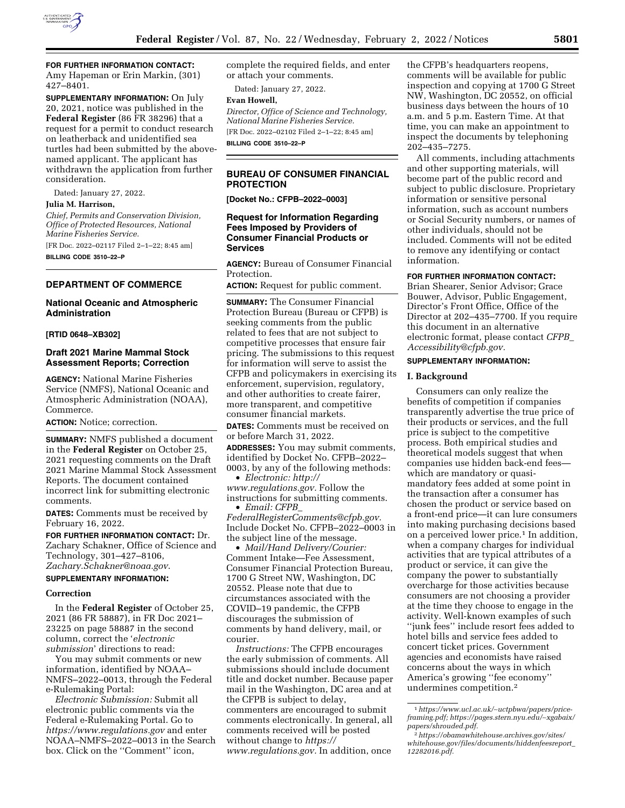

# **FOR FURTHER INFORMATION CONTACT:**

Amy Hapeman or Erin Markin, (301) 427–8401.

**SUPPLEMENTARY INFORMATION:** On July 20, 2021, notice was published in the **Federal Register** (86 FR 38296) that a request for a permit to conduct research on leatherback and unidentified sea turtles had been submitted by the abovenamed applicant. The applicant has withdrawn the application from further consideration.

Dated: January 27, 2022.

#### **Julia M. Harrison,**

*Chief, Permits and Conservation Division, Office of Protected Resources, National Marine Fisheries Service.* 

[FR Doc. 2022–02117 Filed 2–1–22; 8:45 am] **BILLING CODE 3510–22–P** 

**DEPARTMENT OF COMMERCE** 

#### **National Oceanic and Atmospheric Administration**

#### **[RTID 0648–XB302]**

### **Draft 2021 Marine Mammal Stock Assessment Reports; Correction**

**AGENCY:** National Marine Fisheries Service (NMFS), National Oceanic and Atmospheric Administration (NOAA), Commerce.

**ACTION:** Notice; correction.

**SUMMARY:** NMFS published a document in the **Federal Register** on October 25, 2021 requesting comments on the Draft 2021 Marine Mammal Stock Assessment Reports. The document contained incorrect link for submitting electronic comments.

**DATES:** Comments must be received by February 16, 2022.

**FOR FURTHER INFORMATION CONTACT:** Dr. Zachary Schakner, Office of Science and Technology, 301–427–8106, *[Zachary.Schakner@noaa.gov](mailto:Zachary.Schakner@noaa.gov)*.

#### **SUPPLEMENTARY INFORMATION:**

#### **Correction**

In the **Federal Register** of October 25, 2021 (86 FR 58887), in FR Doc 2021– 23225 on page 58887 in the second column, correct the '*electronic submission*' directions to read:

You may submit comments or new information, identified by NOAA– NMFS–2022–0013, through the Federal e-Rulemaking Portal:

*Electronic Submission:* Submit all electronic public comments via the Federal e-Rulemaking Portal. Go to *<https://www.regulations.gov>* and enter NOAA–NMFS–2022–0013 in the Search box. Click on the ''Comment'' icon,

complete the required fields, and enter or attach your comments.

Dated: January 27, 2022.

### **Evan Howell,**

*Director, Office of Science and Technology, National Marine Fisheries Service.*  [FR Doc. 2022–02102 Filed 2–1–22; 8:45 am]

**BILLING CODE 3510–22–P** 

### **BUREAU OF CONSUMER FINANCIAL PROTECTION**

**[Docket No.: CFPB–2022–0003]** 

#### **Request for Information Regarding Fees Imposed by Providers of Consumer Financial Products or Services**

**AGENCY:** Bureau of Consumer Financial Protection.

**ACTION:** Request for public comment.

**SUMMARY:** The Consumer Financial Protection Bureau (Bureau or CFPB) is seeking comments from the public related to fees that are not subject to competitive processes that ensure fair pricing. The submissions to this request for information will serve to assist the CFPB and policymakers in exercising its enforcement, supervision, regulatory, and other authorities to create fairer, more transparent, and competitive consumer financial markets.

**DATES:** Comments must be received on or before March 31, 2022.

**ADDRESSES:** You may submit comments, identified by Docket No. CFPB–2022– 0003, by any of the following methods:

• *Electronic: [http://](http://www.regulations.gov) [www.regulations.gov.](http://www.regulations.gov)* Follow the instructions for submitting comments. • *Email: [CFPB](mailto:CFPB_FederalRegisterComments@cfpb.gov)*\_

*[FederalRegisterComments@cfpb.gov.](mailto:CFPB_FederalRegisterComments@cfpb.gov)*  Include Docket No. CFPB–2022–0003 in the subject line of the message.

• *Mail/Hand Delivery/Courier:*  Comment Intake—Fee Assessment, Consumer Financial Protection Bureau, 1700 G Street NW, Washington, DC 20552. Please note that due to circumstances associated with the COVID–19 pandemic, the CFPB discourages the submission of comments by hand delivery, mail, or courier.

*Instructions:* The CFPB encourages the early submission of comments. All submissions should include document title and docket number. Because paper mail in the Washington, DC area and at the CFPB is subject to delay, commenters are encouraged to submit comments electronically. In general, all comments received will be posted without change to *[https://](https://www.regulations.gov) [www.regulations.gov.](https://www.regulations.gov)* In addition, once

the CFPB's headquarters reopens, comments will be available for public inspection and copying at 1700 G Street NW, Washington, DC 20552, on official business days between the hours of 10 a.m. and 5 p.m. Eastern Time. At that time, you can make an appointment to inspect the documents by telephoning 202–435–7275.

All comments, including attachments and other supporting materials, will become part of the public record and subject to public disclosure. Proprietary information or sensitive personal information, such as account numbers or Social Security numbers, or names of other individuals, should not be included. Comments will not be edited to remove any identifying or contact information.

### **FOR FURTHER INFORMATION CONTACT:**

Brian Shearer, Senior Advisor; Grace Bouwer, Advisor, Public Engagement, Director's Front Office, Office of the Director at 202–435–7700. If you require this document in an alternative electronic format, please contact *[CFPB](mailto:CFPB_Accessibility@cfpb.gov)*\_ *[Accessibility@cfpb.gov.](mailto:CFPB_Accessibility@cfpb.gov)* 

#### **SUPPLEMENTARY INFORMATION:**

#### **I. Background**

Consumers can only realize the benefits of competition if companies transparently advertise the true price of their products or services, and the full price is subject to the competitive process. Both empirical studies and theoretical models suggest that when companies use hidden back-end fees which are mandatory or quasimandatory fees added at some point in the transaction after a consumer has chosen the product or service based on a front-end price—it can lure consumers into making purchasing decisions based on a perceived lower price.<sup>1</sup> In addition, when a company charges for individual activities that are typical attributes of a product or service, it can give the company the power to substantially overcharge for those activities because consumers are not choosing a provider at the time they choose to engage in the activity. Well-known examples of such ''junk fees'' include resort fees added to hotel bills and service fees added to concert ticket prices. Government agencies and economists have raised concerns about the ways in which America's growing ''fee economy'' undermines competition.2

<sup>1</sup>*[https://www.ucl.ac.uk/](https://www.ucl.ac.uk/~uctpbwa/papers/price-framing.pdf)*∼*uctpbwa/papers/price[framing.pdf;](https://www.ucl.ac.uk/~uctpbwa/papers/price-framing.pdf) [https://pages.stern.nyu.edu/](https://pages.stern.nyu.edu/~xgabaix/papers/shrouded.pdf)*∼*xgabaix/ [papers/shrouded.pdf.](https://pages.stern.nyu.edu/~xgabaix/papers/shrouded.pdf)* 

<sup>2</sup>*[https://obamawhitehouse.archives.gov/sites/](https://obamawhitehouse.archives.gov/sites/whitehouse.gov/files/documents/hiddenfeesreport_12282016.pdf)  [whitehouse.gov/files/documents/hiddenfeesreport](https://obamawhitehouse.archives.gov/sites/whitehouse.gov/files/documents/hiddenfeesreport_12282016.pdf)*\_ *[12282016.pdf.](https://obamawhitehouse.archives.gov/sites/whitehouse.gov/files/documents/hiddenfeesreport_12282016.pdf)*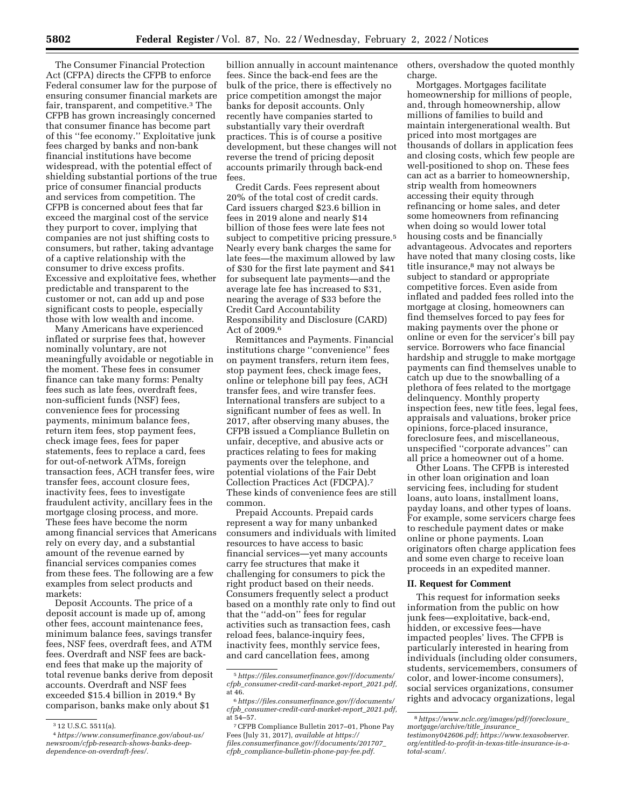The Consumer Financial Protection Act (CFPA) directs the CFPB to enforce Federal consumer law for the purpose of ensuring consumer financial markets are fair, transparent, and competitive.3 The CFPB has grown increasingly concerned that consumer finance has become part of this ''fee economy.'' Exploitative junk fees charged by banks and non-bank financial institutions have become widespread, with the potential effect of shielding substantial portions of the true price of consumer financial products and services from competition. The CFPB is concerned about fees that far exceed the marginal cost of the service they purport to cover, implying that companies are not just shifting costs to consumers, but rather, taking advantage of a captive relationship with the consumer to drive excess profits. Excessive and exploitative fees, whether predictable and transparent to the customer or not, can add up and pose significant costs to people, especially those with low wealth and income.

Many Americans have experienced inflated or surprise fees that, however nominally voluntary, are not meaningfully avoidable or negotiable in the moment. These fees in consumer finance can take many forms: Penalty fees such as late fees, overdraft fees, non-sufficient funds (NSF) fees, convenience fees for processing payments, minimum balance fees, return item fees, stop payment fees, check image fees, fees for paper statements, fees to replace a card, fees for out-of-network ATMs, foreign transaction fees, ACH transfer fees, wire transfer fees, account closure fees, inactivity fees, fees to investigate fraudulent activity, ancillary fees in the mortgage closing process, and more. These fees have become the norm among financial services that Americans rely on every day, and a substantial amount of the revenue earned by financial services companies comes from these fees. The following are a few examples from select products and markets:

Deposit Accounts. The price of a deposit account is made up of, among other fees, account maintenance fees, minimum balance fees, savings transfer fees, NSF fees, overdraft fees, and ATM fees. Overdraft and NSF fees are backend fees that make up the majority of total revenue banks derive from deposit accounts. Overdraft and NSF fees exceeded \$15.4 billion in 2019.4 By comparison, banks make only about \$1

billion annually in account maintenance fees. Since the back-end fees are the bulk of the price, there is effectively no price competition amongst the major banks for deposit accounts. Only recently have companies started to substantially vary their overdraft practices. This is of course a positive development, but these changes will not reverse the trend of pricing deposit accounts primarily through back-end fees.

Credit Cards. Fees represent about 20% of the total cost of credit cards. Card issuers charged \$23.6 billion in fees in 2019 alone and nearly \$14 billion of those fees were late fees not subject to competitive pricing pressure.5 Nearly every bank charges the same for late fees—the maximum allowed by law of \$30 for the first late payment and \$41 for subsequent late payments—and the average late fee has increased to \$31, nearing the average of \$33 before the Credit Card Accountability Responsibility and Disclosure (CARD) Act of 2009.6

Remittances and Payments. Financial institutions charge ''convenience'' fees on payment transfers, return item fees, stop payment fees, check image fees, online or telephone bill pay fees, ACH transfer fees, and wire transfer fees. International transfers are subject to a significant number of fees as well. In 2017, after observing many abuses, the CFPB issued a Compliance Bulletin on unfair, deceptive, and abusive acts or practices relating to fees for making payments over the telephone, and potential violations of the Fair Debt Collection Practices Act (FDCPA).7 These kinds of convenience fees are still common.

Prepaid Accounts. Prepaid cards represent a way for many unbanked consumers and individuals with limited resources to have access to basic financial services—yet many accounts carry fee structures that make it challenging for consumers to pick the right product based on their needs. Consumers frequently select a product based on a monthly rate only to find out that the ''add-on'' fees for regular activities such as transaction fees, cash reload fees, balance-inquiry fees, inactivity fees, monthly service fees, and card cancellation fees, among

others, overshadow the quoted monthly charge.

Mortgages. Mortgages facilitate homeownership for millions of people, and, through homeownership, allow millions of families to build and maintain intergenerational wealth. But priced into most mortgages are thousands of dollars in application fees and closing costs, which few people are well-positioned to shop on. These fees can act as a barrier to homeownership, strip wealth from homeowners accessing their equity through refinancing or home sales, and deter some homeowners from refinancing when doing so would lower total housing costs and be financially advantageous. Advocates and reporters have noted that many closing costs, like title insurance,8 may not always be subject to standard or appropriate competitive forces. Even aside from inflated and padded fees rolled into the mortgage at closing, homeowners can find themselves forced to pay fees for making payments over the phone or online or even for the servicer's bill pay service. Borrowers who face financial hardship and struggle to make mortgage payments can find themselves unable to catch up due to the snowballing of a plethora of fees related to the mortgage delinquency. Monthly property inspection fees, new title fees, legal fees, appraisals and valuations, broker price opinions, force-placed insurance, foreclosure fees, and miscellaneous, unspecified ''corporate advances'' can all price a homeowner out of a home.

Other Loans. The CFPB is interested in other loan origination and loan servicing fees, including for student loans, auto loans, installment loans, payday loans, and other types of loans. For example, some servicers charge fees to reschedule payment dates or make online or phone payments. Loan originators often charge application fees and some even charge to receive loan proceeds in an expedited manner.

#### **II. Request for Comment**

This request for information seeks information from the public on how junk fees—exploitative, back-end, hidden, or excessive fees—have impacted peoples' lives. The CFPB is particularly interested in hearing from individuals (including older consumers, students, servicemembers, consumers of color, and lower-income consumers), social services organizations, consumer rights and advocacy organizations, legal

<sup>3</sup> 12 U.S.C. 5511(a).

<sup>4</sup>*[https://www.consumerfinance.gov/about-us/](https://www.consumerfinance.gov/about-us/newsroom/cfpb-research-shows-banks-deep-dependence-on-overdraft-fees/)  [newsroom/cfpb-research-shows-banks-deep](https://www.consumerfinance.gov/about-us/newsroom/cfpb-research-shows-banks-deep-dependence-on-overdraft-fees/)[dependence-on-overdraft-fees/.](https://www.consumerfinance.gov/about-us/newsroom/cfpb-research-shows-banks-deep-dependence-on-overdraft-fees/)* 

<sup>5</sup>*[https://files.consumerfinance.gov/f/documents/](https://files.consumerfinance.gov/f/documents/cfpb_consumer-credit-card-market-report_2021.pdf)  cfpb*\_*[consumer-credit-card-market-report](https://files.consumerfinance.gov/f/documents/cfpb_consumer-credit-card-market-report_2021.pdf)*\_*2021.pdf,*  at 46.

<sup>6</sup>*[https://files.consumerfinance.gov/f/documents/](https://files.consumerfinance.gov/f/documents/cfpb_consumer-credit-card-market-report_2021.pdf)  cfpb*\_*[consumer-credit-card-market-report](https://files.consumerfinance.gov/f/documents/cfpb_consumer-credit-card-market-report_2021.pdf)*\_*2021.pdf,*  at 54–57.

<sup>7</sup>CFPB Compliance Bulletin 2017–01, Phone Pay Fees (July 31, 2017), *available at [https://](https://files.consumerfinance.gov/f/documents/201707_cfpb_compliance-bulletin-phone-pay-fee.pdf) [files.consumerfinance.gov/f/documents/201707](https://files.consumerfinance.gov/f/documents/201707_cfpb_compliance-bulletin-phone-pay-fee.pdf)*\_ *cfpb*\_*[compliance-bulletin-phone-pay-fee.pdf.](https://files.consumerfinance.gov/f/documents/201707_cfpb_compliance-bulletin-phone-pay-fee.pdf)* 

<sup>8</sup>*[https://www.nclc.org/images/pdf/foreclosure](https://www.nclc.org/images/pdf/foreclosure_mortgage/archive/title_insurance_testimony042606.pdf)*\_ *[mortgage/archive/title](https://www.nclc.org/images/pdf/foreclosure_mortgage/archive/title_insurance_testimony042606.pdf)*\_*insurance*\_ *[testimony042606.pdf;](https://www.nclc.org/images/pdf/foreclosure_mortgage/archive/title_insurance_testimony042606.pdf) [https://www.texasobserver.](https://www.texasobserver.org/entitled-to-profit-in-texas-title-insurance-is-a-total-scam/) [org/entitled-to-profit-in-texas-title-insurance-is-a](https://www.texasobserver.org/entitled-to-profit-in-texas-title-insurance-is-a-total-scam/)[total-scam/.](https://www.texasobserver.org/entitled-to-profit-in-texas-title-insurance-is-a-total-scam/)*